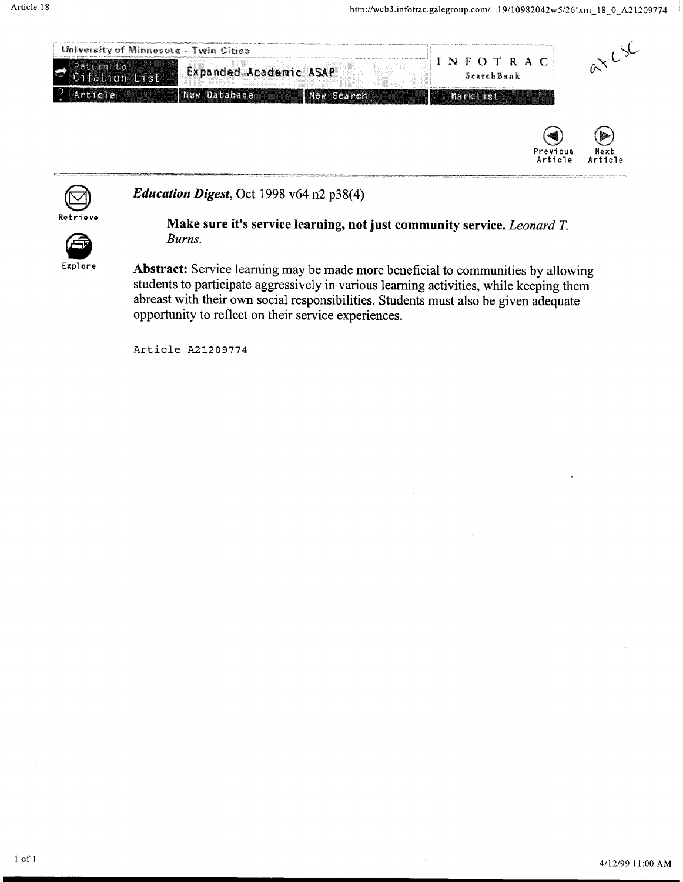



*Education Digest,* Oct 1998 v64 n2 p38(4)



### Make sure it's service learning, not just community service. *Leonard T. Burns.*

Explore

Abstract: Service leaming may be made more beneficial to communities by allowing students to participate aggressively in various leaming activities, while keeping them abreast with their own social responsibilities. Students must also be given adequate opportunity to reflect on their service experiences.

Article A21209774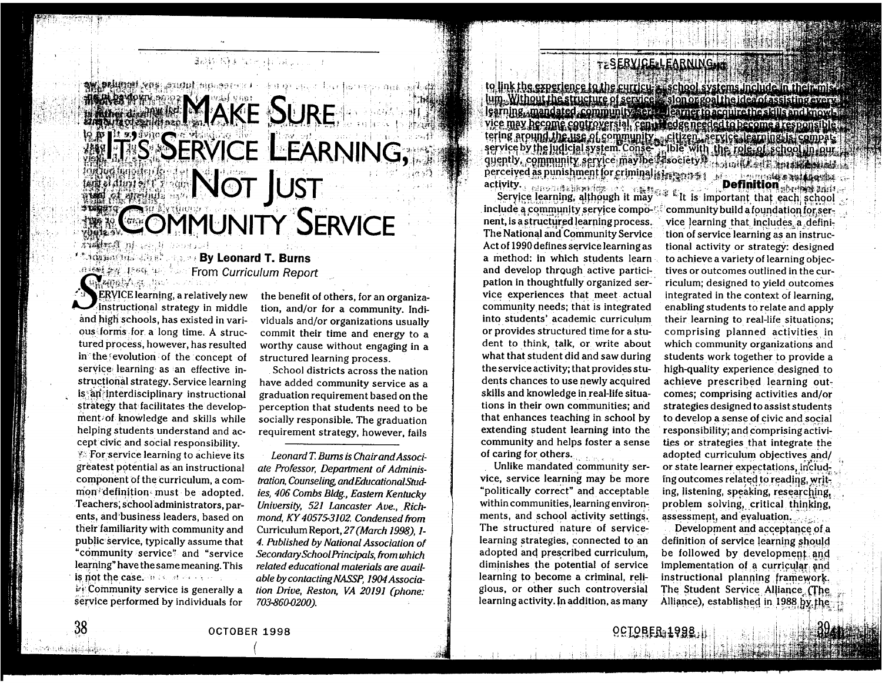## **TESERVICE-LEARNING.IT**

to link the experience to the curricu-s is chool systems include in their mis lum. Without the structure of service slon orgon the idea of assisting every learning, mandated community service learner to acquire the stall rand mowls vice may become controversial, centrifiedge needed to become a responsible. tering around the use of community, citizent service learning is compat: quently, community service may be fasociety M. L. Bank Fatt Linds Lands dexited as punishment for criminal states and a considerable of the construction of the construction of the construction of the construction of the construction of the construction of the construction of the construction o

Service learning, although it may include a community service component, is a structured learning process. The National and Community Service Act of 1990 defines service learning as a method: in which students learn and develop through active participation in thoughtfully organized service experiences that meet actual community needs; that is integrated into students' academic curriculum or provides structured time for a student to think, talk, or write about what that student did and saw during the service activity; that provides students chances to use newly acquired skills and knowledge in real-life situations in their own communities; and that enhances teaching in school by extending student learning into the community and helps foster a sense of caring for others.

Unlike mandated community service, service learning may be more "politically correct" and acceptable within communities, learning environments, and school activity settings. The structured nature of servicelearning strategies, connected to an adopted and prescribed curriculum, diminishes the potential of service learning to become a criminal, religious, or other such controversial learning activity. In addition, as many

Es L'is important that each school community build a foundation for service learning that includes a definition of service learning as an instructional activity or strategy: designed to achieve a variety of learning objectives or outcomes outlined in the curriculum; designed to yield outcomes integrated in the context of learning, enabling students to relate and apply their learning to real-life situations; comprising planned activities in which community organizations and students work together to provide a high-quality experience designed to achieve prescribed learning outcomes; comprising activities and/or strategies designed to assist students to develop a sense of civic and social responsibility; and comprising activities or strategies that integrate the adopted curriculum objectives and/ or state learner expectations, including outcomes related to reading, writing, listening, speaking, researching, problem solving, critical thinking, assessment, and evaluation.

Development and acceptance of a definition of service learning should be followed by development and implementation of a curricular and instructional planning framework. The Student Service Alliance (The Alliance), established in 1988 by the

# ●電話の「い」(い) にいしゃ こいけい けいはい はいきん 連邦銀行 (物) また はくしゃ **MARIANT MAKE SURE SIT'S SERVICE LEARNING, NOT JUST<br>COMMUNITY SERVICE** AVAILABLE DES LA PARTIES

dan Kilote di atas s

**The advisor of the Secret By Leonard T. Burns** 

**ERVICE** learning, a relatively new instructional strategy in middle and high schools, has existed in various forms for a long time. A structured process, however, has resulted in the evolution of the concept of service learning as an effective instructional strategy. Service learning is an interdisciplinary instructional strategy that facilitates the development of knowledge and skills while helping students understand and accept civic and social responsibility. **Example 7.5 For service learning to achieve its** greatest potential as an instructional component of the curriculum, a common definition must be adopted. Teachers, school administrators, parents, and business leaders, based on their familiarity with community and public service, typically assume that "community service" and "service learning" have the same meaning. This is not the case. It is also as a set **El Community service is generally a** service performed by individuals for

Uncapacine line

38

กระเทศอิฟฟิลิต (ปี 1

the benefit of others, for an organization, and/or for a community. Individuals and/or organizations usually commit their time and energy to a worthy cause without engaging in a structured learning process.

School districts across the nation have added community service as a graduation requirement based on the perception that students need to be socially responsible. The graduation requirement strategy, however, fails

Leonard T. Burns is Chair and Associate Professor, Department of Administration, Counseling, and Educational Studies, 406 Combs Bldg., Eastern Kentucky University, 521 Lancaster Ave., Richmond, KY 40575-3102. Condensed from Curriculum Report, 27 (March 1998), 1-4. Published by National Association of Secondary School Principals, from which related educational materials are available by contacting NASSP, 1904 Association Drive, Reston, VA 20191 (phone: 703-860-0200).